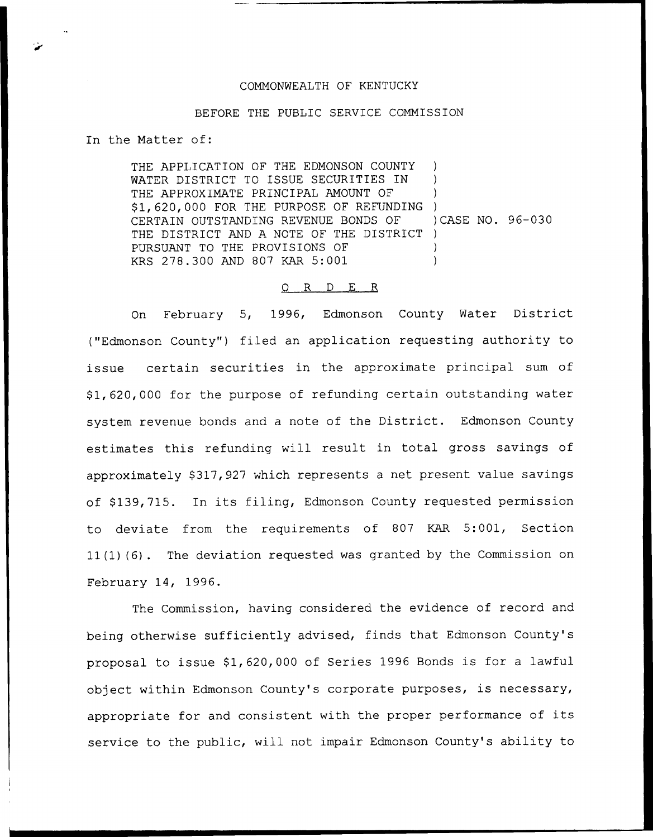## COMMONWEALTH OF KENTUCKY

## BEFORE THE PUBLIC SERVICE COMMISSION

In the Matter of:

THE APPLICATION OF THE EDMONSON COUNTY WATER DISTRICT TO ISSUE SECURITIES IN THE APPROXIMATE PRINCIPAL AMOUNT OF \$1,620,000 FOR THE PURPOSE OF REFUNDING ) CERTAIN OUTSTANDING REVENUE BONDS OF THE DISTRICT AND A NOTE OF THE DISTRICT ) PURSUANT TO THE PROVISIONS OF KRS 278.300 AND 807 KAR 5:001 ) ) ) )CASE NO. 96-030 ) )

## 0 R <sup>D</sup> E R

On February 5, 1996, Edmonson County Water District ("Edmonson County") filed an application requesting authority to issue certain securities in the approximate principal sum of \$1,620,000 for the purpose of refunding certain outstanding water system revenue bonds and <sup>a</sup> note of the District. Edmonson County estimates this refunding will result in total gross savings of approximately \$317,927 which represents a net present value savings of \$139,715. In its filing, Edmonson County requested permission to deviate from the requirements of 807 KAR 5:001, Section 11(1)(6) . The deviation requested was granted by the Commission on February 14, 1996.

The Commission, having considered the evidence of record and being otherwise sufficiently advised, finds that Edmonson County's proposal to issue \$1,620,000 of Series 1996 Bonds is for a lawful object within Edmonson County's corporate purposes, is necessary, appropriate for and consistent with the proper performance of its service to the public, will not impair Edmonson County's ability to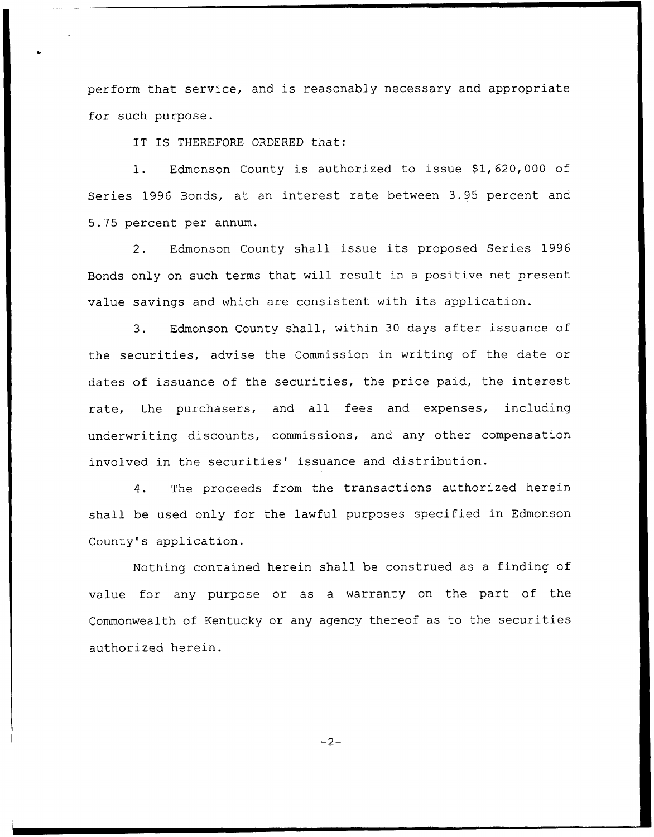perform that service, and is reasonably necessary and appropriate for such purpose.

IT IS THEREFORE ORDERED that:

1. Edmonson County is authorized to issue \$1,620,000 of Series 1996 Bonds, at an interest rate between 3.95 percent and 5.75 percent per annum.

2. Edmonson County shall issue its proposed Series 1996 Bonds only on such terms that will result in a positive net present value savings and which are consistent with its application.

3. Edmonson County shall, within 30 days after issuance of the securities, advise the Commission in writing of the date or dates of issuance of the securities, the price paid, the interest rate, the purchasers, and all fees and expenses, including underwriting discounts, commissions, and any other compensation involved in the securities' issuance and distribution.

4. The proceeds from the transactions authorized herein shall be used only for the lawful purposes specified in Edmonson County's application.

Nothing contained herein shall be construed as a finding of value for any purpose or as a warranty on the part of the Commonwealth of Kentucky or any agency thereof as to the securities authorized herein.

 $-2-$